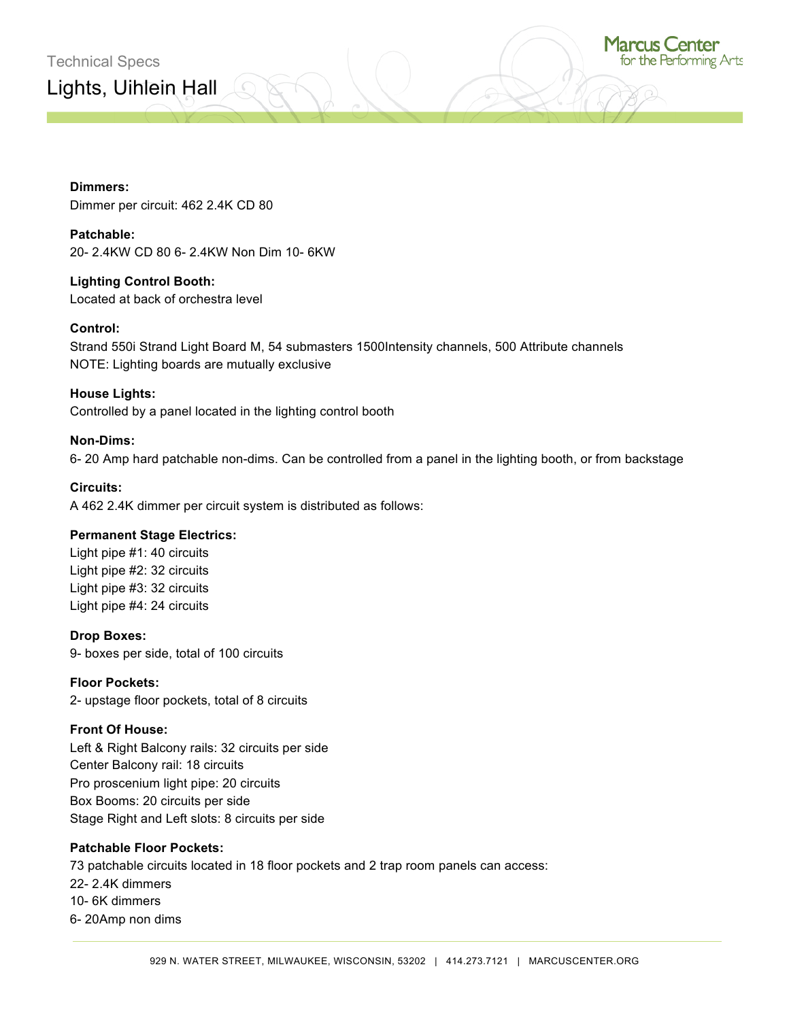

**Dimmers:** Dimmer per circuit: 462 2.4K CD 80

**Patchable:** 20- 2.4KW CD 80 6- 2.4KW Non Dim 10- 6KW

**Lighting Control Booth:** Located at back of orchestra level

## **Control:**

Strand 550i Strand Light Board M, 54 submasters 1500Intensity channels, 500 Attribute channels NOTE: Lighting boards are mutually exclusive

## **House Lights:**

Controlled by a panel located in the lighting control booth

## **Non-Dims:**

6- 20 Amp hard patchable non-dims. Can be controlled from a panel in the lighting booth, or from backstage

#### **Circuits:**

A 462 2.4K dimmer per circuit system is distributed as follows:

## **Permanent Stage Electrics:**

Light pipe #1: 40 circuits Light pipe #2: 32 circuits Light pipe #3: 32 circuits Light pipe #4: 24 circuits

## **Drop Boxes:**

9- boxes per side, total of 100 circuits

## **Floor Pockets:**

2- upstage floor pockets, total of 8 circuits

## **Front Of House:**

Left & Right Balcony rails: 32 circuits per side Center Balcony rail: 18 circuits Pro proscenium light pipe: 20 circuits Box Booms: 20 circuits per side Stage Right and Left slots: 8 circuits per side

## **Patchable Floor Pockets:**

73 patchable circuits located in 18 floor pockets and 2 trap room panels can access: 22- 2.4K dimmers 10- 6K dimmers 6- 20Amp non dims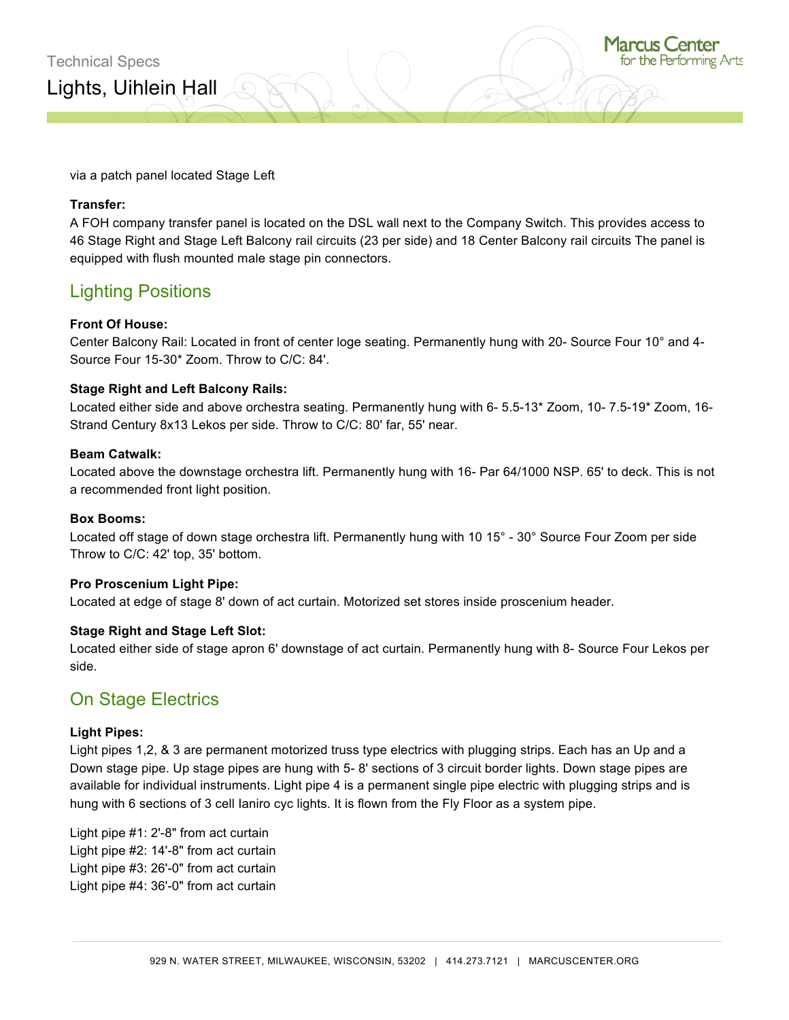via a patch panel located Stage Left

## **Transfer:**

A FOH company transfer panel is located on the DSL wall next to the Company Switch. This provides access to 46 Stage Right and Stage Left Balcony rail circuits (23 per side) and 18 Center Balcony rail circuits The panel is equipped with flush mounted male stage pin connectors.

# Lighting Positions

#### **Front Of House:**

Center Balcony Rail: Located in front of center loge seating. Permanently hung with 20- Source Four 10° and 4- Source Four 15-30\* Zoom. Throw to C/C: 84'.

#### **Stage Right and Left Balcony Rails:**

Located either side and above orchestra seating. Permanently hung with 6- 5.5-13\* Zoom, 10- 7.5-19\* Zoom, 16- Strand Century 8x13 Lekos per side. Throw to C/C: 80' far, 55' near.

#### **Beam Catwalk:**

Located above the downstage orchestra lift. Permanently hung with 16- Par 64/1000 NSP. 65' to deck. This is not a recommended front light position.

#### **Box Booms:**

Located off stage of down stage orchestra lift. Permanently hung with 10 15° - 30° Source Four Zoom per side Throw to C/C: 42' top, 35' bottom.

#### **Pro Proscenium Light Pipe:**

Located at edge of stage 8' down of act curtain. Motorized set stores inside proscenium header.

## **Stage Right and Stage Left Slot:**

Located either side of stage apron 6' downstage of act curtain. Permanently hung with 8- Source Four Lekos per side.

## On Stage Electrics

#### **Light Pipes:**

Light pipes 1,2, & 3 are permanent motorized truss type electrics with plugging strips. Each has an Up and a Down stage pipe. Up stage pipes are hung with 5- 8' sections of 3 circuit border lights. Down stage pipes are available for individual instruments. Light pipe 4 is a permanent single pipe electric with plugging strips and is hung with 6 sections of 3 cell Ianiro cyc lights. It is flown from the Fly Floor as a system pipe.

Light pipe #1: 2'-8" from act curtain Light pipe #2: 14'-8" from act curtain Light pipe #3: 26'-0" from act curtain Light pipe #4: 36'-0" from act curtain